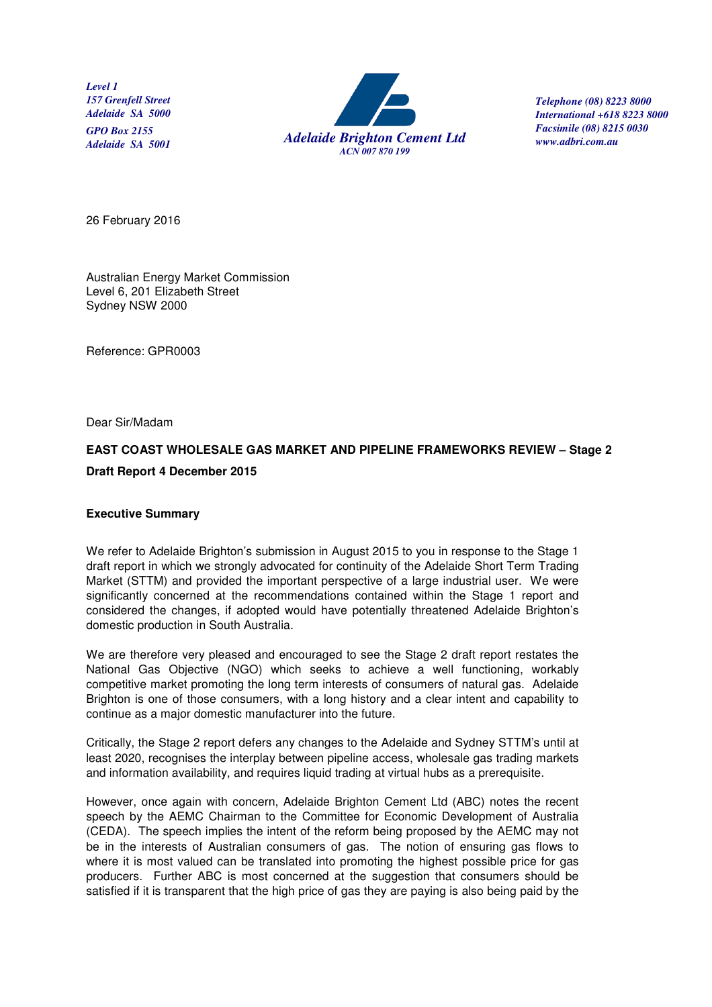*Level 1 157 Grenfell Street Adelaide SA 5000 GPO Box 2155* 



 *Telephone (08) 8223 8000 International +618 8223 8000 Facsimile (08) 8215 0030 www.adbri.com.au*

26 February 2016

Australian Energy Market Commission Level 6, 201 Elizabeth Street Sydney NSW 2000

Reference: GPR0003

Dear Sir/Madam

# **EAST COAST WHOLESALE GAS MARKET AND PIPELINE FRAMEWORKS REVIEW – Stage 2 Draft Report 4 December 2015**

### **Executive Summary**

We refer to Adelaide Brighton's submission in August 2015 to you in response to the Stage 1 draft report in which we strongly advocated for continuity of the Adelaide Short Term Trading Market (STTM) and provided the important perspective of a large industrial user. We were significantly concerned at the recommendations contained within the Stage 1 report and considered the changes, if adopted would have potentially threatened Adelaide Brighton's domestic production in South Australia.

We are therefore very pleased and encouraged to see the Stage 2 draft report restates the National Gas Objective (NGO) which seeks to achieve a well functioning, workably competitive market promoting the long term interests of consumers of natural gas. Adelaide Brighton is one of those consumers, with a long history and a clear intent and capability to continue as a major domestic manufacturer into the future.

Critically, the Stage 2 report defers any changes to the Adelaide and Sydney STTM's until at least 2020, recognises the interplay between pipeline access, wholesale gas trading markets and information availability, and requires liquid trading at virtual hubs as a prerequisite.

However, once again with concern, Adelaide Brighton Cement Ltd (ABC) notes the recent speech by the AEMC Chairman to the Committee for Economic Development of Australia (CEDA). The speech implies the intent of the reform being proposed by the AEMC may not be in the interests of Australian consumers of gas. The notion of ensuring gas flows to where it is most valued can be translated into promoting the highest possible price for gas producers. Further ABC is most concerned at the suggestion that consumers should be satisfied if it is transparent that the high price of gas they are paying is also being paid by the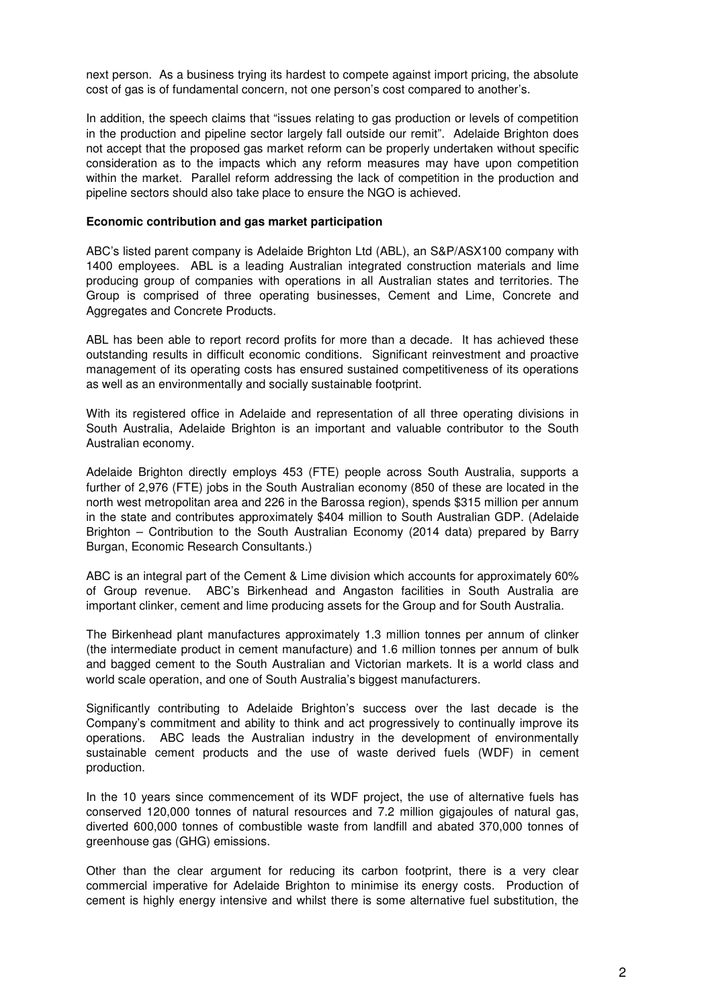next person. As a business trying its hardest to compete against import pricing, the absolute cost of gas is of fundamental concern, not one person's cost compared to another's.

In addition, the speech claims that "issues relating to gas production or levels of competition in the production and pipeline sector largely fall outside our remit". Adelaide Brighton does not accept that the proposed gas market reform can be properly undertaken without specific consideration as to the impacts which any reform measures may have upon competition within the market. Parallel reform addressing the lack of competition in the production and pipeline sectors should also take place to ensure the NGO is achieved.

#### **Economic contribution and gas market participation**

ABC's listed parent company is Adelaide Brighton Ltd (ABL), an S&P/ASX100 company with 1400 employees. ABL is a leading Australian integrated construction materials and lime producing group of companies with operations in all Australian states and territories. The Group is comprised of three operating businesses, Cement and Lime, Concrete and Aggregates and Concrete Products.

ABL has been able to report record profits for more than a decade. It has achieved these outstanding results in difficult economic conditions. Significant reinvestment and proactive management of its operating costs has ensured sustained competitiveness of its operations as well as an environmentally and socially sustainable footprint.

With its registered office in Adelaide and representation of all three operating divisions in South Australia, Adelaide Brighton is an important and valuable contributor to the South Australian economy.

Adelaide Brighton directly employs 453 (FTE) people across South Australia, supports a further of 2,976 (FTE) jobs in the South Australian economy (850 of these are located in the north west metropolitan area and 226 in the Barossa region), spends \$315 million per annum in the state and contributes approximately \$404 million to South Australian GDP. (Adelaide Brighton – Contribution to the South Australian Economy (2014 data) prepared by Barry Burgan, Economic Research Consultants.)

ABC is an integral part of the Cement & Lime division which accounts for approximately 60% of Group revenue. ABC's Birkenhead and Angaston facilities in South Australia are important clinker, cement and lime producing assets for the Group and for South Australia.

The Birkenhead plant manufactures approximately 1.3 million tonnes per annum of clinker (the intermediate product in cement manufacture) and 1.6 million tonnes per annum of bulk and bagged cement to the South Australian and Victorian markets. It is a world class and world scale operation, and one of South Australia's biggest manufacturers.

Significantly contributing to Adelaide Brighton's success over the last decade is the Company's commitment and ability to think and act progressively to continually improve its operations. ABC leads the Australian industry in the development of environmentally sustainable cement products and the use of waste derived fuels (WDF) in cement production.

In the 10 years since commencement of its WDF project, the use of alternative fuels has conserved 120,000 tonnes of natural resources and 7.2 million gigajoules of natural gas, diverted 600,000 tonnes of combustible waste from landfill and abated 370,000 tonnes of greenhouse gas (GHG) emissions.

Other than the clear argument for reducing its carbon footprint, there is a very clear commercial imperative for Adelaide Brighton to minimise its energy costs. Production of cement is highly energy intensive and whilst there is some alternative fuel substitution, the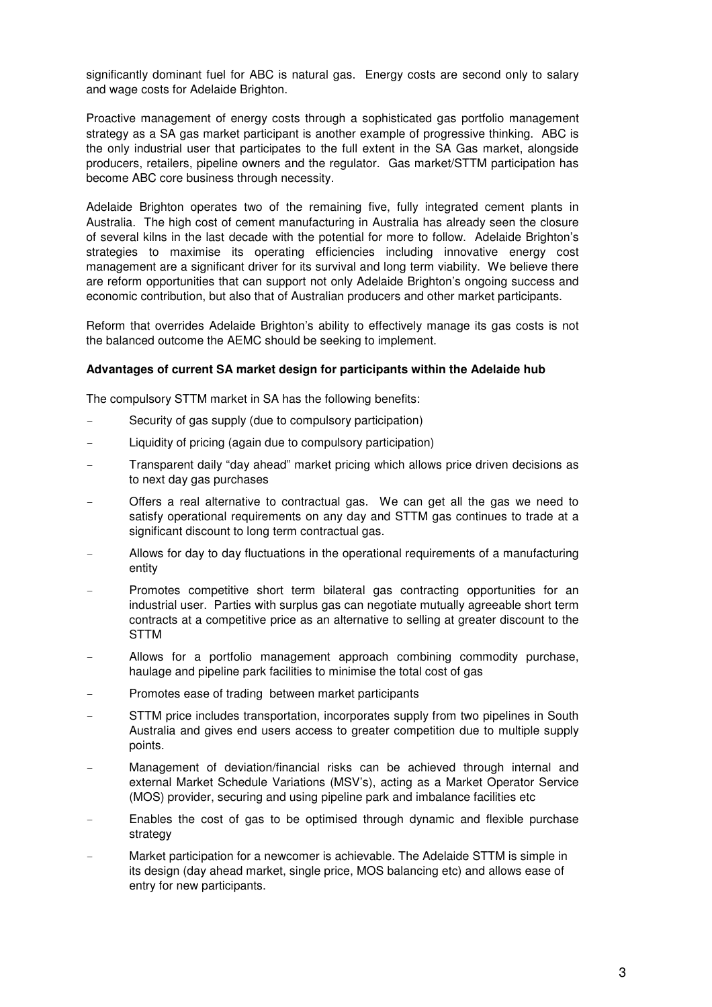significantly dominant fuel for ABC is natural gas. Energy costs are second only to salary and wage costs for Adelaide Brighton.

Proactive management of energy costs through a sophisticated gas portfolio management strategy as a SA gas market participant is another example of progressive thinking. ABC is the only industrial user that participates to the full extent in the SA Gas market, alongside producers, retailers, pipeline owners and the regulator. Gas market/STTM participation has become ABC core business through necessity.

Adelaide Brighton operates two of the remaining five, fully integrated cement plants in Australia. The high cost of cement manufacturing in Australia has already seen the closure of several kilns in the last decade with the potential for more to follow. Adelaide Brighton's strategies to maximise its operating efficiencies including innovative energy cost management are a significant driver for its survival and long term viability. We believe there are reform opportunities that can support not only Adelaide Brighton's ongoing success and economic contribution, but also that of Australian producers and other market participants.

Reform that overrides Adelaide Brighton's ability to effectively manage its gas costs is not the balanced outcome the AEMC should be seeking to implement.

#### **Advantages of current SA market design for participants within the Adelaide hub**

The compulsory STTM market in SA has the following benefits:

- Security of gas supply (due to compulsory participation)
- Liquidity of pricing (again due to compulsory participation)
- Transparent daily "day ahead" market pricing which allows price driven decisions as to next day gas purchases
- Offers a real alternative to contractual gas. We can get all the gas we need to satisfy operational requirements on any day and STTM gas continues to trade at a significant discount to long term contractual gas.
- Allows for day to day fluctuations in the operational requirements of a manufacturing entity
- Promotes competitive short term bilateral gas contracting opportunities for an industrial user. Parties with surplus gas can negotiate mutually agreeable short term contracts at a competitive price as an alternative to selling at greater discount to the STTM
- Allows for a portfolio management approach combining commodity purchase, haulage and pipeline park facilities to minimise the total cost of gas
- Promotes ease of trading between market participants
- STTM price includes transportation, incorporates supply from two pipelines in South Australia and gives end users access to greater competition due to multiple supply points.
- Management of deviation/financial risks can be achieved through internal and external Market Schedule Variations (MSV's), acting as a Market Operator Service (MOS) provider, securing and using pipeline park and imbalance facilities etc
- Enables the cost of gas to be optimised through dynamic and flexible purchase strategy
- Market participation for a newcomer is achievable. The Adelaide STTM is simple in its design (day ahead market, single price, MOS balancing etc) and allows ease of entry for new participants.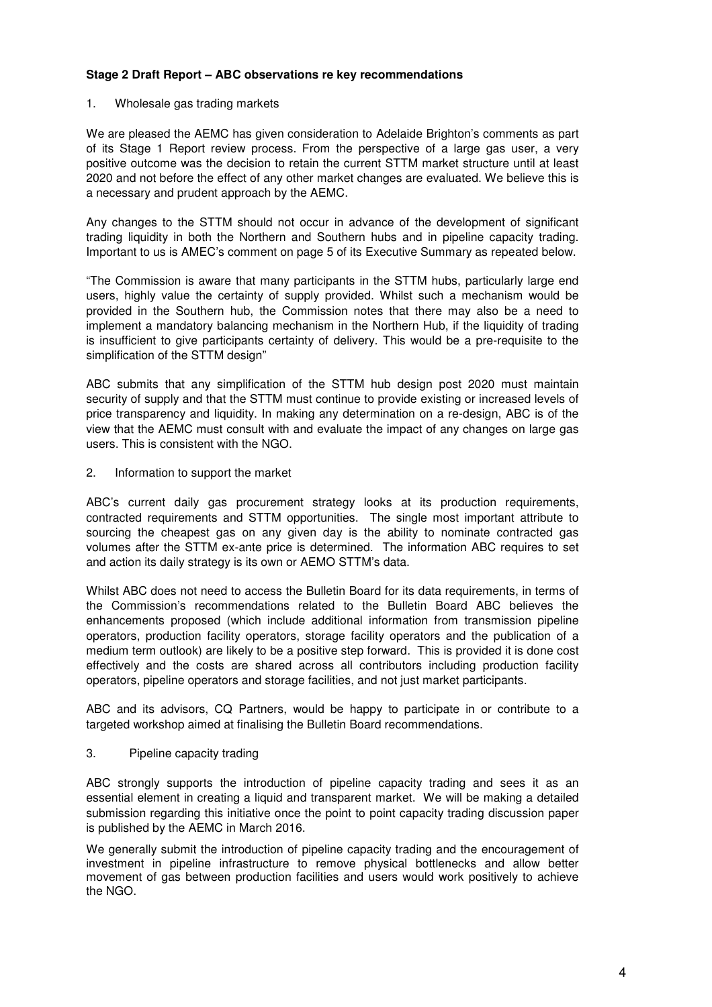### **Stage 2 Draft Report – ABC observations re key recommendations**

### 1. Wholesale gas trading markets

We are pleased the AEMC has given consideration to Adelaide Brighton's comments as part of its Stage 1 Report review process. From the perspective of a large gas user, a very positive outcome was the decision to retain the current STTM market structure until at least 2020 and not before the effect of any other market changes are evaluated. We believe this is a necessary and prudent approach by the AEMC.

Any changes to the STTM should not occur in advance of the development of significant trading liquidity in both the Northern and Southern hubs and in pipeline capacity trading. Important to us is AMEC's comment on page 5 of its Executive Summary as repeated below.

"The Commission is aware that many participants in the STTM hubs, particularly large end users, highly value the certainty of supply provided. Whilst such a mechanism would be provided in the Southern hub, the Commission notes that there may also be a need to implement a mandatory balancing mechanism in the Northern Hub, if the liquidity of trading is insufficient to give participants certainty of delivery. This would be a pre-requisite to the simplification of the STTM design"

ABC submits that any simplification of the STTM hub design post 2020 must maintain security of supply and that the STTM must continue to provide existing or increased levels of price transparency and liquidity. In making any determination on a re-design, ABC is of the view that the AEMC must consult with and evaluate the impact of any changes on large gas users. This is consistent with the NGO.

2. Information to support the market

ABC's current daily gas procurement strategy looks at its production requirements, contracted requirements and STTM opportunities. The single most important attribute to sourcing the cheapest gas on any given day is the ability to nominate contracted gas volumes after the STTM ex-ante price is determined. The information ABC requires to set and action its daily strategy is its own or AEMO STTM's data.

Whilst ABC does not need to access the Bulletin Board for its data requirements, in terms of the Commission's recommendations related to the Bulletin Board ABC believes the enhancements proposed (which include additional information from transmission pipeline operators, production facility operators, storage facility operators and the publication of a medium term outlook) are likely to be a positive step forward. This is provided it is done cost effectively and the costs are shared across all contributors including production facility operators, pipeline operators and storage facilities, and not just market participants.

ABC and its advisors, CQ Partners, would be happy to participate in or contribute to a targeted workshop aimed at finalising the Bulletin Board recommendations.

## 3. Pipeline capacity trading

ABC strongly supports the introduction of pipeline capacity trading and sees it as an essential element in creating a liquid and transparent market. We will be making a detailed submission regarding this initiative once the point to point capacity trading discussion paper is published by the AEMC in March 2016.

We generally submit the introduction of pipeline capacity trading and the encouragement of investment in pipeline infrastructure to remove physical bottlenecks and allow better movement of gas between production facilities and users would work positively to achieve the NGO.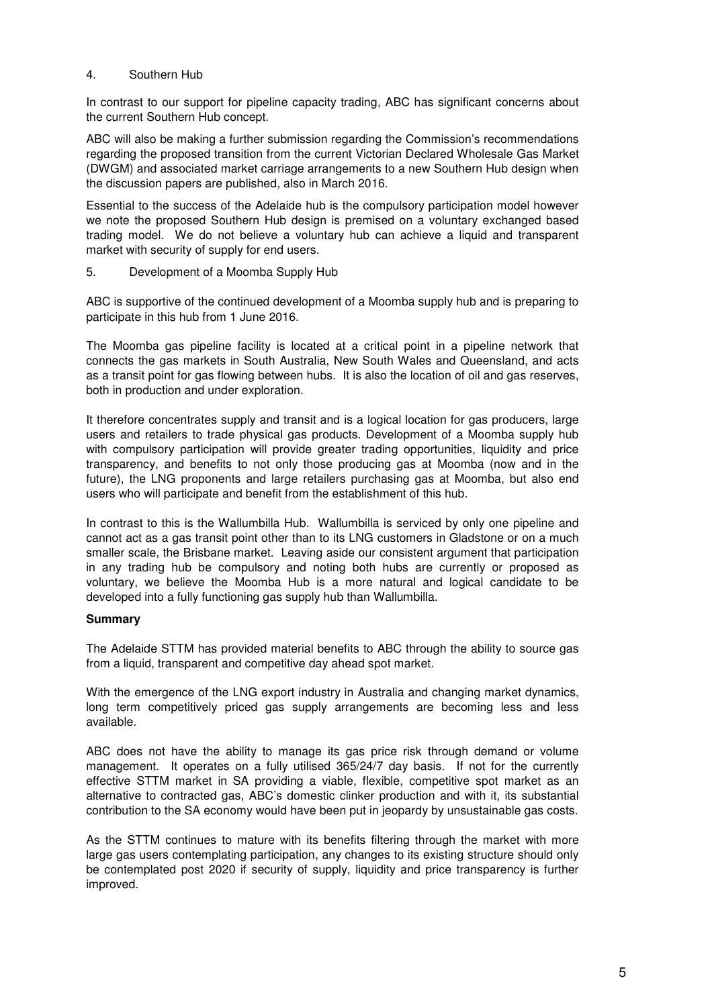### 4. Southern Hub

In contrast to our support for pipeline capacity trading, ABC has significant concerns about the current Southern Hub concept.

ABC will also be making a further submission regarding the Commission's recommendations regarding the proposed transition from the current Victorian Declared Wholesale Gas Market (DWGM) and associated market carriage arrangements to a new Southern Hub design when the discussion papers are published, also in March 2016.

Essential to the success of the Adelaide hub is the compulsory participation model however we note the proposed Southern Hub design is premised on a voluntary exchanged based trading model. We do not believe a voluntary hub can achieve a liquid and transparent market with security of supply for end users.

5. Development of a Moomba Supply Hub

ABC is supportive of the continued development of a Moomba supply hub and is preparing to participate in this hub from 1 June 2016.

The Moomba gas pipeline facility is located at a critical point in a pipeline network that connects the gas markets in South Australia, New South Wales and Queensland, and acts as a transit point for gas flowing between hubs. It is also the location of oil and gas reserves, both in production and under exploration.

It therefore concentrates supply and transit and is a logical location for gas producers, large users and retailers to trade physical gas products. Development of a Moomba supply hub with compulsory participation will provide greater trading opportunities, liquidity and price transparency, and benefits to not only those producing gas at Moomba (now and in the future), the LNG proponents and large retailers purchasing gas at Moomba, but also end users who will participate and benefit from the establishment of this hub.

In contrast to this is the Wallumbilla Hub. Wallumbilla is serviced by only one pipeline and cannot act as a gas transit point other than to its LNG customers in Gladstone or on a much smaller scale, the Brisbane market. Leaving aside our consistent argument that participation in any trading hub be compulsory and noting both hubs are currently or proposed as voluntary, we believe the Moomba Hub is a more natural and logical candidate to be developed into a fully functioning gas supply hub than Wallumbilla.

### **Summary**

The Adelaide STTM has provided material benefits to ABC through the ability to source gas from a liquid, transparent and competitive day ahead spot market.

With the emergence of the LNG export industry in Australia and changing market dynamics, long term competitively priced gas supply arrangements are becoming less and less available.

ABC does not have the ability to manage its gas price risk through demand or volume management. It operates on a fully utilised 365/24/7 day basis. If not for the currently effective STTM market in SA providing a viable, flexible, competitive spot market as an alternative to contracted gas, ABC's domestic clinker production and with it, its substantial contribution to the SA economy would have been put in jeopardy by unsustainable gas costs.

As the STTM continues to mature with its benefits filtering through the market with more large gas users contemplating participation, any changes to its existing structure should only be contemplated post 2020 if security of supply, liquidity and price transparency is further improved.